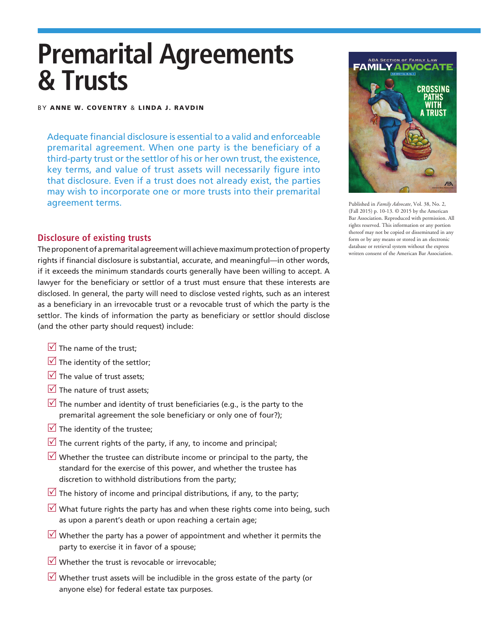# **Premarital Agreements & Trusts**

#### BY ANNE W. COVENTRY & LINDA J. RAVDIN

Adequate financial disclosure is essential to a valid and enforceable premarital agreement. When one party is the beneficiary of a third-party trust or the settlor of his or her own trust, the existence, key terms, and value of trust assets will necessarily figure into that disclosure. Even if a trust does not already exist, the parties may wish to incorporate one or more trusts into their premarital agreement terms.

## **Disclosure of existing trusts**

The proponent of a premarital agreement will achieve maximum protection of property rights if financial disclosure is substantial, accurate, and meaningful—in other words, if it exceeds the minimum standards courts generally have been willing to accept. A lawyer for the beneficiary or settlor of a trust must ensure that these interests are disclosed. In general, the party will need to disclose vested rights, such as an interest as a beneficiary in an irrevocable trust or a revocable trust of which the party is the settlor. The kinds of information the party as beneficiary or settlor should disclose (and the other party should request) include:

- $\sqrt{\ }$  The name of the trust:
- $\triangledown$  The identity of the settlor;
- $\sqrt{ }$  The value of trust assets:
- $\sqrt{ }$  The nature of trust assets;
- $\sqrt{ }$  The number and identity of trust beneficiaries (e.g., is the party to the premarital agreement the sole beneficiary or only one of four?);
- $\sqrt{ }$  The identity of the trustee:
- $\triangledown$  The current rights of the party, if any, to income and principal;
- $\sqrt{ }$  Whether the trustee can distribute income or principal to the party, the standard for the exercise of this power, and whether the trustee has discretion to withhold distributions from the party;
- $\sqrt{ }$  The history of income and principal distributions, if any, to the party;
- $\vee$  What future rights the party has and when these rights come into being, such as upon a parent's death or upon reaching a certain age;
- $\sqrt{ }$  Whether the party has a power of appointment and whether it permits the party to exercise it in favor of a spouse;
- $\overline{V}$  Whether the trust is revocable or irrevocable;
- $\sqrt{ }$  Whether trust assets will be includible in the gross estate of the party (or anyone else) for federal estate tax purposes.



Published in *Family Advocate*, Vol. 38, No. 2, (Fall 2015) p. 10-13. © 2015 by the American Bar Association. Reproduced with permission. All rights reserved. This information or any portion thereof may not be copied or disseminated in any form or by any means or stored in an electronic database or retrieval system without the express written consent of the American Bar Association.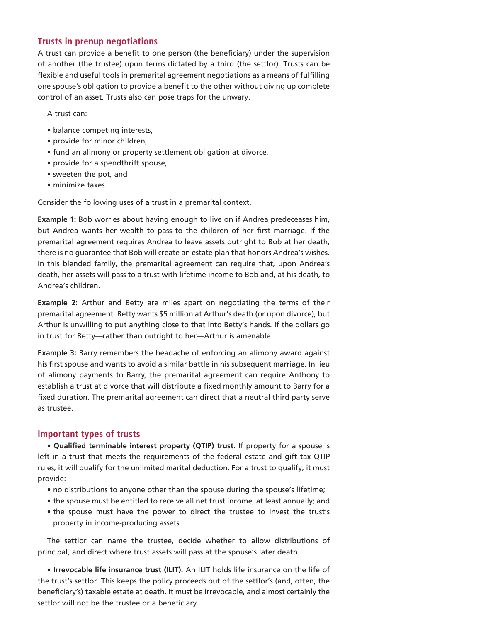#### **Trusts in prenup negotiations**

A trust can provide a benefit to one person (the beneficiary) under the supervision of another (the trustee) upon terms dictated by a third (the settlor). Trusts can be flexible and useful tools in premarital agreement negotiations as a means of fulfilling one spouse's obligation to provide a benefit to the other without giving up complete control of an asset. Trusts also can pose traps for the unwary.

A trust can:

- balance competing interests,
- provide for minor children,
- fund an alimony or property settlement obligation at divorce,
- provide for a spendthrift spouse,
- sweeten the pot, and
- minimize taxes.

Consider the following uses of a trust in a premarital context.

**Example 1:** Bob worries about having enough to live on if Andrea predeceases him, but Andrea wants her wealth to pass to the children of her first marriage. If the premarital agreement requires Andrea to leave assets outright to Bob at her death, there is no guarantee that Bob will create an estate plan that honors Andrea's wishes. In this blended family, the premarital agreement can require that, upon Andrea's death, her assets will pass to a trust with lifetime income to Bob and, at his death, to Andrea's children.

**Example 2:** Arthur and Betty are miles apart on negotiating the terms of their premarital agreement. Betty wants \$5 million at Arthur's death (or upon divorce), but Arthur is unwilling to put anything close to that into Betty's hands. If the dollars go in trust for Betty—rather than outright to her—Arthur is amenable.

**Example 3:** Barry remembers the headache of enforcing an alimony award against his first spouse and wants to avoid a similar battle in his subsequent marriage. In lieu of alimony payments to Barry, the premarital agreement can require Anthony to establish a trust at divorce that will distribute a fixed monthly amount to Barry for a fixed duration. The premarital agreement can direct that a neutral third party serve as trustee.

## **Important types of trusts**

• **Qualified terminable interest property (QTIP) trust.** If property for a spouse is left in a trust that meets the requirements of the federal estate and gift tax QTIP rules, it will qualify for the unlimited marital deduction. For a trust to qualify, it must provide:

- no distributions to anyone other than the spouse during the spouse's lifetime;
- the spouse must be entitled to receive all net trust income, at least annually; and
- the spouse must have the power to direct the trustee to invest the trust's property in income-producing assets.

The settlor can name the trustee, decide whether to allow distributions of principal, and direct where trust assets will pass at the spouse's later death.

• **Irrevocable life insurance trust (ILIT).** An ILIT holds life insurance on the life of the trust's settlor. This keeps the policy proceeds out of the settlor's (and, often, the beneficiary's) taxable estate at death. It must be irrevocable, and almost certainly the settlor will not be the trustee or a beneficiary.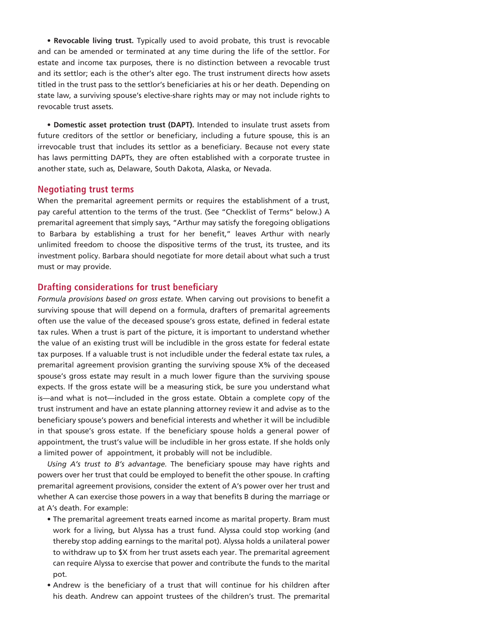• **Revocable living trust.** Typically used to avoid probate, this trust is revocable and can be amended or terminated at any time during the life of the settlor. For estate and income tax purposes, there is no distinction between a revocable trust and its settlor; each is the other's alter ego. The trust instrument directs how assets titled in the trust pass to the settlor's beneficiaries at his or her death. Depending on state law, a surviving spouse's elective-share rights may or may not include rights to revocable trust assets.

• **Domestic asset protection trust (DAPT).** Intended to insulate trust assets from future creditors of the settlor or beneficiary, including a future spouse, this is an irrevocable trust that includes its settlor as a beneficiary. Because not every state has laws permitting DAPTs, they are often established with a corporate trustee in another state, such as, Delaware, South Dakota, Alaska, or Nevada.

#### **Negotiating trust terms**

When the premarital agreement permits or requires the establishment of a trust, pay careful attention to the terms of the trust. (See "Checklist of Terms" below.) A premarital agreement that simply says, "Arthur may satisfy the foregoing obligations to Barbara by establishing a trust for her benefit," leaves Arthur with nearly unlimited freedom to choose the dispositive terms of the trust, its trustee, and its investment policy. Barbara should negotiate for more detail about what such a trust must or may provide.

#### **Drafting considerations for trust beneficiary**

*Formula provisions based on gross estate.* When carving out provisions to benefit a surviving spouse that will depend on a formula, drafters of premarital agreements often use the value of the deceased spouse's gross estate, defined in federal estate tax rules. When a trust is part of the picture, it is important to understand whether the value of an existing trust will be includible in the gross estate for federal estate tax purposes. If a valuable trust is not includible under the federal estate tax rules, a premarital agreement provision granting the surviving spouse X% of the deceased spouse's gross estate may result in a much lower figure than the surviving spouse expects. If the gross estate will be a measuring stick, be sure you understand what is—and what is not—included in the gross estate. Obtain a complete copy of the trust instrument and have an estate planning attorney review it and advise as to the beneficiary spouse's powers and beneficial interests and whether it will be includible in that spouse's gross estate. If the beneficiary spouse holds a general power of appointment, the trust's value will be includible in her gross estate. If she holds only a limited power of appointment, it probably will not be includible.

*Using A's trust to B's advantage.* The beneficiary spouse may have rights and powers over her trust that could be employed to benefit the other spouse. In crafting premarital agreement provisions, consider the extent of A's power over her trust and whether A can exercise those powers in a way that benefits B during the marriage or at A's death. For example:

- The premarital agreement treats earned income as marital property. Bram must work for a living, but Alyssa has a trust fund. Alyssa could stop working (and thereby stop adding earnings to the marital pot). Alyssa holds a unilateral power to withdraw up to \$X from her trust assets each year. The premarital agreement can require Alyssa to exercise that power and contribute the funds to the marital pot.
- Andrew is the beneficiary of a trust that will continue for his children after his death. Andrew can appoint trustees of the children's trust. The premarital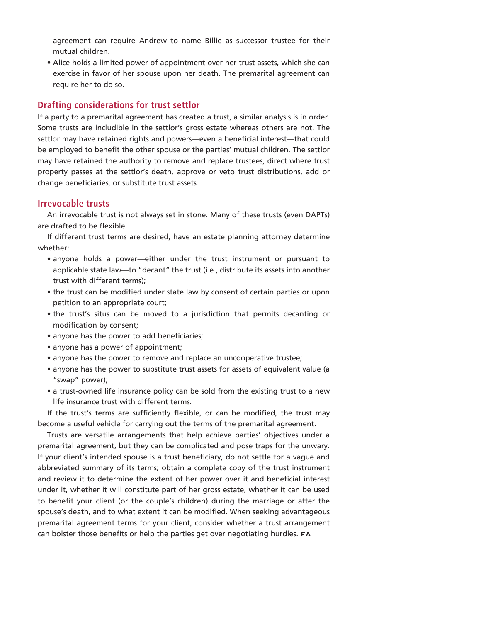agreement can require Andrew to name Billie as successor trustee for their mutual children.

• Alice holds a limited power of appointment over her trust assets, which she can exercise in favor of her spouse upon her death. The premarital agreement can require her to do so.

#### **Drafting considerations for trust settlor**

If a party to a premarital agreement has created a trust, a similar analysis is in order. Some trusts are includible in the settlor's gross estate whereas others are not. The settlor may have retained rights and powers—even a beneficial interest—that could be employed to benefit the other spouse or the parties' mutual children. The settlor may have retained the authority to remove and replace trustees, direct where trust property passes at the settlor's death, approve or veto trust distributions, add or change beneficiaries, or substitute trust assets.

#### **Irrevocable trusts**

An irrevocable trust is not always set in stone. Many of these trusts (even DAPTs) are drafted to be flexible.

If different trust terms are desired, have an estate planning attorney determine whether:

- anyone holds a power—either under the trust instrument or pursuant to applicable state law—to "decant" the trust (i.e., distribute its assets into another trust with different terms);
- the trust can be modified under state law by consent of certain parties or upon petition to an appropriate court;
- the trust's situs can be moved to a jurisdiction that permits decanting or modification by consent;
- anyone has the power to add beneficiaries;
- anyone has a power of appointment;
- anyone has the power to remove and replace an uncooperative trustee;
- anyone has the power to substitute trust assets for assets of equivalent value (a "swap" power);
- a trust-owned life insurance policy can be sold from the existing trust to a new life insurance trust with different terms.

If the trust's terms are sufficiently flexible, or can be modified, the trust may become a useful vehicle for carrying out the terms of the premarital agreement.

Trusts are versatile arrangements that help achieve parties' objectives under a premarital agreement, but they can be complicated and pose traps for the unwary. If your client's intended spouse is a trust beneficiary, do not settle for a vague and abbreviated summary of its terms; obtain a complete copy of the trust instrument and review it to determine the extent of her power over it and beneficial interest under it, whether it will constitute part of her gross estate, whether it can be used to benefit your client (or the couple's children) during the marriage or after the spouse's death, and to what extent it can be modified. When seeking advantageous premarital agreement terms for your client, consider whether a trust arrangement can bolster those benefits or help the parties get over negotiating hurdles. FA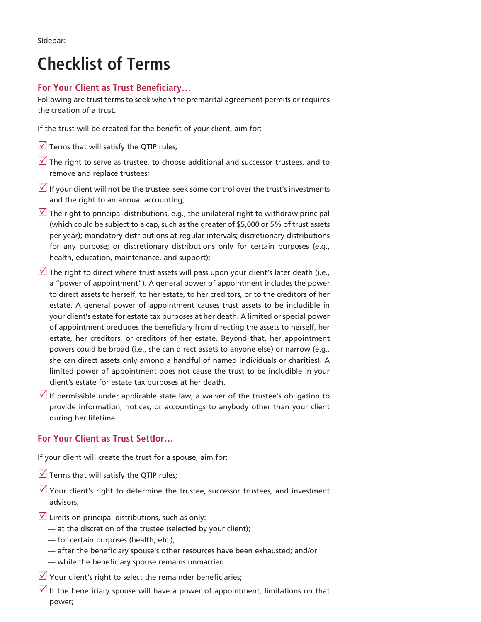Sidebar:

# **Checklist of Terms**

# **For Your Client as Trust Beneficiary…**

Following are trust terms to seek when the premarital agreement permits or requires the creation of a trust.

If the trust will be created for the benefit of your client, aim for:

- $\sqrt{ }$  Terms that will satisfy the QTIP rules;
- $\sqrt{ }$  The right to serve as trustee, to choose additional and successor trustees, and to remove and replace trustees;
- If your client will not be the trustee, seek some control over the trust's investments and the right to an annual accounting;
- The right to principal distributions, e.g., the unilateral right to withdraw principal (which could be subject to a cap, such as the greater of \$5,000 or 5% of trust assets per year); mandatory distributions at regular intervals; discretionary distributions for any purpose; or discretionary distributions only for certain purposes (e.g., health, education, maintenance, and support);
- $\sqrt{ }$  The right to direct where trust assets will pass upon your client's later death (i.e., a "power of appointment"). A general power of appointment includes the power to direct assets to herself, to her estate, to her creditors, or to the creditors of her estate. A general power of appointment causes trust assets to be includible in your client's estate for estate tax purposes at her death. A limited or special power of appointment precludes the beneficiary from directing the assets to herself, her estate, her creditors, or creditors of her estate. Beyond that, her appointment powers could be broad (i.e., she can direct assets to anyone else) or narrow (e.g., she can direct assets only among a handful of named individuals or charities). A limited power of appointment does not cause the trust to be includible in your client's estate for estate tax purposes at her death.
- If permissible under applicable state law, a waiver of the trustee's obligation to provide information, notices, or accountings to anybody other than your client during her lifetime.

# **For Your Client as Trust Settlor…**

If your client will create the trust for a spouse, aim for:

- $\sqrt{ }$  Terms that will satisfy the QTIP rules;
- $\sqrt{ }$  Your client's right to determine the trustee, successor trustees, and investment advisors;
- $\vee$  Limits on principal distributions, such as only:
	- at the discretion of the trustee (selected by your client);
	- for certain purposes (health, etc.);
	- after the beneficiary spouse's other resources have been exhausted; and/or
	- while the beneficiary spouse remains unmarried.
- $\sqrt{2}$  Your client's right to select the remainder beneficiaries;
- If the beneficiary spouse will have a power of appointment, limitations on that power;